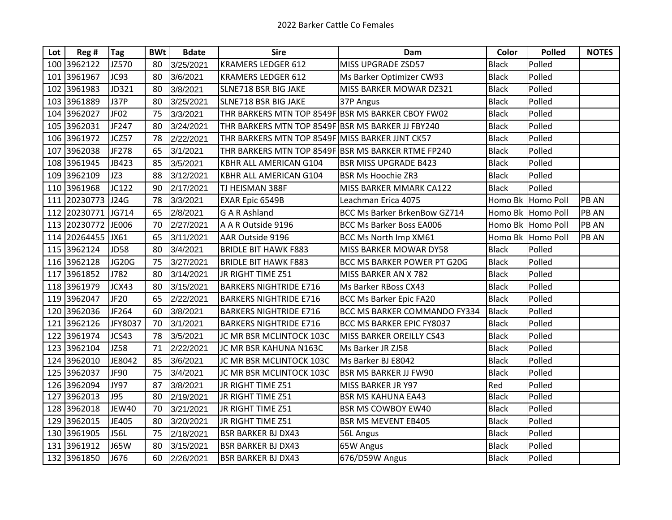| Lot | Reg #        | <b>Tag</b>       | <b>BWt</b> | <b>Bdate</b> | <b>Sire</b>                                        | Dam                                 | Color        | <b>Polled</b>     | <b>NOTES</b> |
|-----|--------------|------------------|------------|--------------|----------------------------------------------------|-------------------------------------|--------------|-------------------|--------------|
|     | 100 3962122  | JZ570            | 80         | 3/25/2021    | <b>KRAMERS LEDGER 612</b>                          | MISS UPGRADE ZSD57                  | <b>Black</b> | Polled            |              |
|     | 101 3961967  | JC93             | 80         | 3/6/2021     | <b>KRAMERS LEDGER 612</b>                          | Ms Barker Optimizer CW93            | <b>Black</b> | Polled            |              |
| 102 | 3961983      | JD321            | 80         | 3/8/2021     | SLNE718 BSR BIG JAKE                               | MISS BARKER MOWAR DZ321             | <b>Black</b> | Polled            |              |
| 103 | 3961889      | <b>J37P</b>      | 80         | 3/25/2021    | SLNE718 BSR BIG JAKE                               | 37P Angus                           | <b>Black</b> | Polled            |              |
| 104 | 3962027      | JF <sub>02</sub> | 75         | 3/3/2021     | THR BARKERS MTN TOP 8549F BSR MS BARKER CBOY FW02  |                                     | <b>Black</b> | Polled            |              |
| 105 | 3962031      | JF247            | 80         | 3/24/2021    | THR BARKERS MTN TOP 8549F BSR MS BARKER JJ FBY240  |                                     | <b>Black</b> | Polled            |              |
|     | 106 3961972  | JCZ57            | 78         | 2/22/2021    | THR BARKERS MTN TOP 8549F MISS BARKER JJNT CK57    |                                     | <b>Black</b> | Polled            |              |
| 107 | 3962038      | JF278            | 65         | 3/1/2021     | THR BARKERS MTN TOP 8549F BSR MS BARKER RTME FP240 |                                     | <b>Black</b> | Polled            |              |
|     | 108 3961945  | JB423            | 85         | 3/5/2021     | KBHR ALL AMERICAN G104                             | <b>BSR MISS UPGRADE B423</b>        | <b>Black</b> | Polled            |              |
|     | 109 3962109  | JZ3              | 88         | 3/12/2021    | KBHR ALL AMERICAN G104                             | <b>BSR Ms Hoochie ZR3</b>           | <b>Black</b> | Polled            |              |
|     | 110 3961968  | JC122            | 90         | 2/17/2021    | TJ HEISMAN 388F                                    | MISS BARKER MMARK CA122             | <b>Black</b> | Polled            |              |
|     | 111 20230773 | J24G             | 78         | 3/3/2021     | EXAR Epic 6549B                                    | Leachman Erica 4075                 |              | Homo Bk Homo Poll | PB AN        |
| 112 | 20230771     | JG714            | 65         | 2/8/2021     | <b>G A R Ashland</b>                               | <b>BCC Ms Barker BrkenBow GZ714</b> |              | Homo Bk Homo Poll | PB AN        |
|     | 113 20230772 | JE006            | 70         | 2/27/2021    | A A R Outside 9196                                 | <b>BCC Ms Barker Boss EA006</b>     |              | Homo Bk Homo Poll | PB AN        |
| 114 | 20264455     | JX61             | 65         | 3/11/2021    | AAR Outside 9196                                   | BCC Ms North Imp XM61               |              | Homo Bk Homo Poll | PB AN        |
| 115 | 3962124      | <b>JD58</b>      | 80         | 3/4/2021     | <b>BRIDLE BIT HAWK F883</b>                        | MISS BARKER MOWAR DY58              | <b>Black</b> | Polled            |              |
|     | 116 3962128  | JG20G            | 75         | 3/27/2021    | <b>BRIDLE BIT HAWK F883</b>                        | BCC MS BARKER POWER PT G20G         | <b>Black</b> | Polled            |              |
| 117 | 3961852      | J782             | 80         | 3/14/2021    | JR RIGHT TIME Z51                                  | MISS BARKER AN X 782                | <b>Black</b> | Polled            |              |
|     | 118 3961979  | JCX43            | 80         | 3/15/2021    | <b>BARKERS NIGHTRIDE E716</b>                      | Ms Barker RBoss CX43                | <b>Black</b> | Polled            |              |
|     | 119 3962047  | JF20             | 65         | 2/22/2021    | <b>BARKERS NIGHTRIDE E716</b>                      | <b>BCC Ms Barker Epic FA20</b>      | <b>Black</b> | Polled            |              |
| 120 | 3962036      | JF264            | 60         | 3/8/2021     | <b>BARKERS NIGHTRIDE E716</b>                      | BCC MS BARKER COMMANDO FY334        | <b>Black</b> | Polled            |              |
|     | 121 3962126  | JFY8037          | 70         | 3/1/2021     | <b>BARKERS NIGHTRIDE E716</b>                      | BCC MS BARKER EPIC FY8037           | <b>Black</b> | Polled            |              |
| 122 | 3961974      | JCS43            | 78         | 3/5/2021     | JC MR BSR MCLINTOCK 103C                           | MISS BARKER OREILLY CS43            | <b>Black</b> | Polled            |              |
|     | 123 3962104  | <b>JZ58</b>      | 71         | 2/22/2021    | JC MR BSR KAHUNA N163C                             | Ms Barker JR ZJ58                   | <b>Black</b> | Polled            |              |
|     | 124 3962010  | JE8042           | 85         | 3/6/2021     | JC MR BSR MCLINTOCK 103C                           | Ms Barker BJ E8042                  | <b>Black</b> | Polled            |              |
| 125 | 3962037      | JF90             | 75         | 3/4/2021     | JC MR BSR MCLINTOCK 103C                           | <b>BSR MS BARKER JJ FW90</b>        | <b>Black</b> | Polled            |              |
| 126 | 3962094      | <b>JY97</b>      | 87         | 3/8/2021     | JR RIGHT TIME Z51                                  | MISS BARKER JR Y97                  | Red          | Polled            |              |
| 127 | 3962013      | J95              | 80         | 2/19/2021    | JR RIGHT TIME Z51                                  | <b>BSR MS KAHUNA EA43</b>           | <b>Black</b> | Polled            |              |
| 128 | 3962018      | JEW40            | 70         | 3/21/2021    | JR RIGHT TIME Z51                                  | <b>BSR MS COWBOY EW40</b>           | <b>Black</b> | Polled            |              |
|     | 129 3962015  | JE405            | 80         | 3/20/2021    | JR RIGHT TIME Z51                                  | <b>BSR MS MEVENT EB405</b>          | <b>Black</b> | Polled            |              |
|     | 130 3961905  | <b>J56L</b>      | 75         | 2/18/2021    | <b>BSR BARKER BJ DX43</b>                          | 56L Angus                           | <b>Black</b> | Polled            |              |
|     | 131 3961912  | <b>J65W</b>      | 80         | 3/15/2021    | <b>BSR BARKER BJ DX43</b>                          | 65W Angus                           | <b>Black</b> | Polled            |              |
|     | 132 3961850  | J676             | 60         | 2/26/2021    | <b>BSR BARKER BJ DX43</b>                          | 676/D59W Angus                      | <b>Black</b> | Polled            |              |